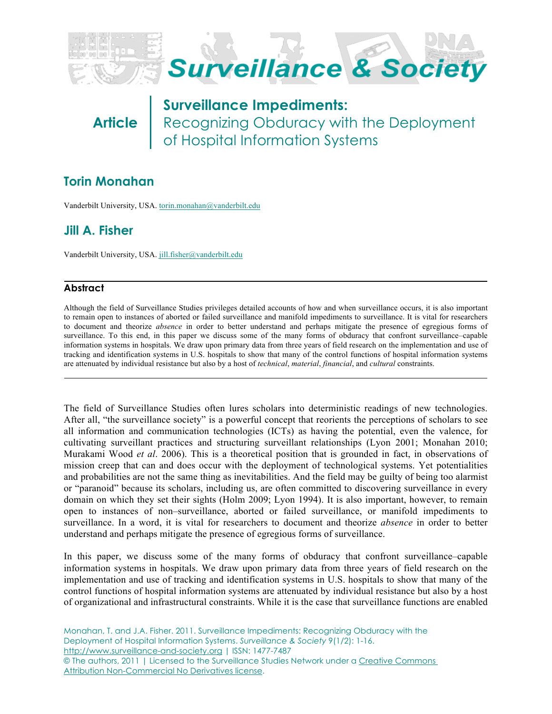

**Article**

**Surveillance Impediments:**  Recognizing Obduracy with the Deployment of Hospital Information Systems

# **Torin Monahan**

Vanderbilt University, USA. [torin.monahan@vanderbilt.edu](mailto:torin.monahan@vanderbilt.edu)

# **Jill A. Fisher**

Vanderbilt University, USA. [jill.fisher@vanderbilt.edu](mailto:jill.fisher@vanderbilt.edu)

# **Abstract**

Although the field of Surveillance Studies privileges detailed accounts of how and when surveillance occurs, it is also important to remain open to instances of aborted or failed surveillance and manifold impediments to surveillance. It is vital for researchers to document and theorize *absence* in order to better understand and perhaps mitigate the presence of egregious forms of surveillance. To this end, in this paper we discuss some of the many forms of obduracy that confront surveillance–capable information systems in hospitals. We draw upon primary data from three years of field research on the implementation and use of tracking and identification systems in U.S. hospitals to show that many of the control functions of hospital information systems are attenuated by individual resistance but also by a host of *technical*, *material*, *financial*, and *cultural* constraints.

The field of Surveillance Studies often lures scholars into deterministic readings of new technologies. After all, "the surveillance society" is a powerful concept that reorients the perceptions of scholars to see all information and communication technologies (ICTs) as having the potential, even the valence, for cultivating surveillant practices and structuring surveillant relationships (Lyon 2001; Monahan 2010; Murakami Wood *et al*. 2006). This is a theoretical position that is grounded in fact, in observations of mission creep that can and does occur with the deployment of technological systems. Yet potentialities and probabilities are not the same thing as inevitabilities. And the field may be guilty of being too alarmist or "paranoid" because its scholars, including us, are often committed to discovering surveillance in every domain on which they set their sights (Holm 2009; Lyon 1994). It is also important, however, to remain open to instances of non–surveillance, aborted or failed surveillance, or manifold impediments to surveillance. In a word, it is vital for researchers to document and theorize *absence* in order to better understand and perhaps mitigate the presence of egregious forms of surveillance.

In this paper, we discuss some of the many forms of obduracy that confront surveillance–capable information systems in hospitals. We draw upon primary data from three years of field research on the implementation and use of tracking and identification systems in U.S. hospitals to show that many of the control functions of hospital information systems are attenuated by individual resistance but also by a host of organizational and infrastructural constraints. While it is the case that surveillance functions are enabled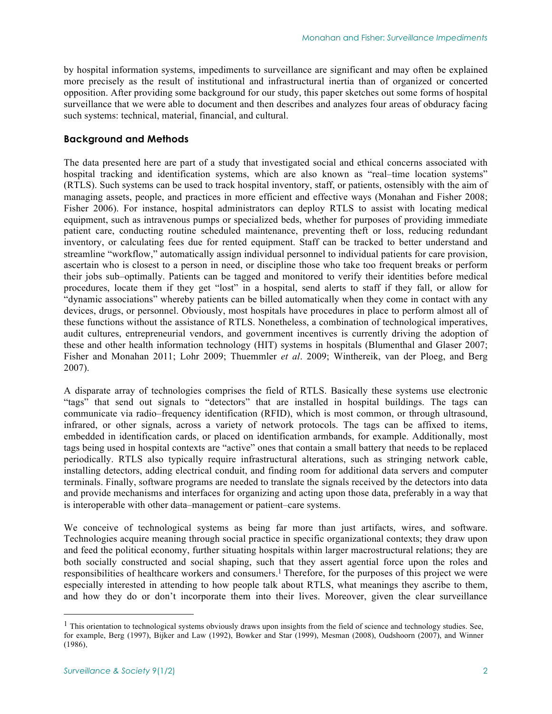by hospital information systems, impediments to surveillance are significant and may often be explained more precisely as the result of institutional and infrastructural inertia than of organized or concerted opposition. After providing some background for our study, this paper sketches out some forms of hospital surveillance that we were able to document and then describes and analyzes four areas of obduracy facing such systems: technical, material, financial, and cultural.

#### **Background and Methods**

The data presented here are part of a study that investigated social and ethical concerns associated with hospital tracking and identification systems, which are also known as "real–time location systems" (RTLS). Such systems can be used to track hospital inventory, staff, or patients, ostensibly with the aim of managing assets, people, and practices in more efficient and effective ways (Monahan and Fisher 2008; Fisher 2006). For instance, hospital administrators can deploy RTLS to assist with locating medical equipment, such as intravenous pumps or specialized beds, whether for purposes of providing immediate patient care, conducting routine scheduled maintenance, preventing theft or loss, reducing redundant inventory, or calculating fees due for rented equipment. Staff can be tracked to better understand and streamline "workflow," automatically assign individual personnel to individual patients for care provision, ascertain who is closest to a person in need, or discipline those who take too frequent breaks or perform their jobs sub–optimally. Patients can be tagged and monitored to verify their identities before medical procedures, locate them if they get "lost" in a hospital, send alerts to staff if they fall, or allow for "dynamic associations" whereby patients can be billed automatically when they come in contact with any devices, drugs, or personnel. Obviously, most hospitals have procedures in place to perform almost all of these functions without the assistance of RTLS. Nonetheless, a combination of technological imperatives, audit cultures, entrepreneurial vendors, and government incentives is currently driving the adoption of these and other health information technology (HIT) systems in hospitals (Blumenthal and Glaser 2007; Fisher and Monahan 2011; Lohr 2009; Thuemmler *et al*. 2009; Winthereik, van der Ploeg, and Berg 2007).

A disparate array of technologies comprises the field of RTLS. Basically these systems use electronic "tags" that send out signals to "detectors" that are installed in hospital buildings. The tags can communicate via radio–frequency identification (RFID), which is most common, or through ultrasound, infrared, or other signals, across a variety of network protocols. The tags can be affixed to items, embedded in identification cards, or placed on identification armbands, for example. Additionally, most tags being used in hospital contexts are "active" ones that contain a small battery that needs to be replaced periodically. RTLS also typically require infrastructural alterations, such as stringing network cable, installing detectors, adding electrical conduit, and finding room for additional data servers and computer terminals. Finally, software programs are needed to translate the signals received by the detectors into data and provide mechanisms and interfaces for organizing and acting upon those data, preferably in a way that is interoperable with other data–management or patient–care systems.

We conceive of technological systems as being far more than just artifacts, wires, and software. Technologies acquire meaning through social practice in specific organizational contexts; they draw upon and feed the political economy, further situating hospitals within larger macrostructural relations; they are both socially constructed and social shaping, such that they assert agential force upon the roles and responsibilities of healthcare workers and consumers.1 Therefore, for the purposes of this project we were especially interested in attending to how people talk about RTLS, what meanings they ascribe to them, and how they do or don't incorporate them into their lives. Moreover, given the clear surveillance

 $<sup>1</sup>$  This orientation to technological systems obviously draws upon insights from the field of science and technology studies. See,</sup> for example, Berg (1997), Bijker and Law (1992), Bowker and Star (1999), Mesman (2008), Oudshoorn (2007), and Winner (1986).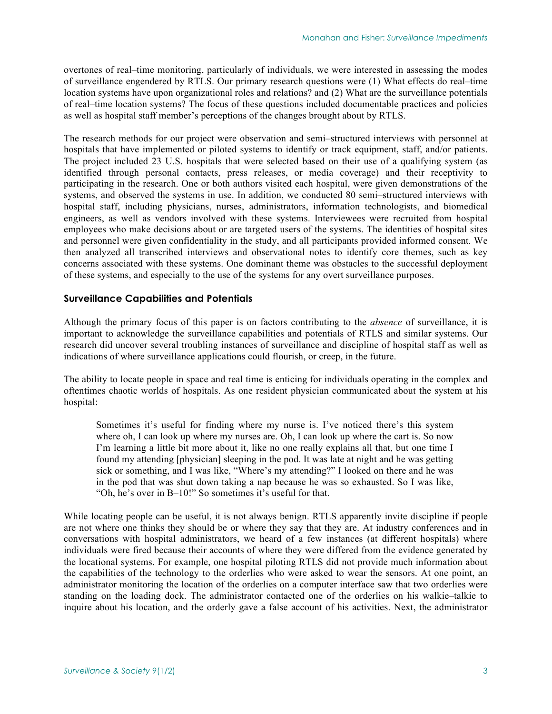overtones of real–time monitoring, particularly of individuals, we were interested in assessing the modes of surveillance engendered by RTLS. Our primary research questions were (1) What effects do real–time location systems have upon organizational roles and relations? and (2) What are the surveillance potentials of real–time location systems? The focus of these questions included documentable practices and policies as well as hospital staff member's perceptions of the changes brought about by RTLS.

The research methods for our project were observation and semi–structured interviews with personnel at hospitals that have implemented or piloted systems to identify or track equipment, staff, and/or patients. The project included 23 U.S. hospitals that were selected based on their use of a qualifying system (as identified through personal contacts, press releases, or media coverage) and their receptivity to participating in the research. One or both authors visited each hospital, were given demonstrations of the systems, and observed the systems in use. In addition, we conducted 80 semi–structured interviews with hospital staff, including physicians, nurses, administrators, information technologists, and biomedical engineers, as well as vendors involved with these systems. Interviewees were recruited from hospital employees who make decisions about or are targeted users of the systems. The identities of hospital sites and personnel were given confidentiality in the study, and all participants provided informed consent. We then analyzed all transcribed interviews and observational notes to identify core themes, such as key concerns associated with these systems. One dominant theme was obstacles to the successful deployment of these systems, and especially to the use of the systems for any overt surveillance purposes.

### **Surveillance Capabilities and Potentials**

Although the primary focus of this paper is on factors contributing to the *absence* of surveillance, it is important to acknowledge the surveillance capabilities and potentials of RTLS and similar systems. Our research did uncover several troubling instances of surveillance and discipline of hospital staff as well as indications of where surveillance applications could flourish, or creep, in the future.

The ability to locate people in space and real time is enticing for individuals operating in the complex and oftentimes chaotic worlds of hospitals. As one resident physician communicated about the system at his hospital:

Sometimes it's useful for finding where my nurse is. I've noticed there's this system where oh, I can look up where my nurses are. Oh, I can look up where the cart is. So now I'm learning a little bit more about it, like no one really explains all that, but one time I found my attending [physician] sleeping in the pod. It was late at night and he was getting sick or something, and I was like, "Where's my attending?" I looked on there and he was in the pod that was shut down taking a nap because he was so exhausted. So I was like, "Oh, he's over in B–10!" So sometimes it's useful for that.

While locating people can be useful, it is not always benign. RTLS apparently invite discipline if people are not where one thinks they should be or where they say that they are. At industry conferences and in conversations with hospital administrators, we heard of a few instances (at different hospitals) where individuals were fired because their accounts of where they were differed from the evidence generated by the locational systems. For example, one hospital piloting RTLS did not provide much information about the capabilities of the technology to the orderlies who were asked to wear the sensors. At one point, an administrator monitoring the location of the orderlies on a computer interface saw that two orderlies were standing on the loading dock. The administrator contacted one of the orderlies on his walkie–talkie to inquire about his location, and the orderly gave a false account of his activities. Next, the administrator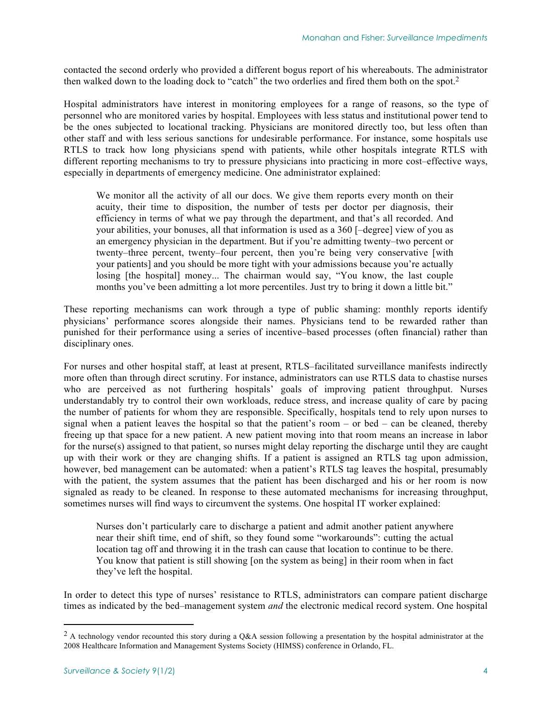contacted the second orderly who provided a different bogus report of his whereabouts. The administrator then walked down to the loading dock to "catch" the two orderlies and fired them both on the spot.2

Hospital administrators have interest in monitoring employees for a range of reasons, so the type of personnel who are monitored varies by hospital. Employees with less status and institutional power tend to be the ones subjected to locational tracking. Physicians are monitored directly too, but less often than other staff and with less serious sanctions for undesirable performance. For instance, some hospitals use RTLS to track how long physicians spend with patients, while other hospitals integrate RTLS with different reporting mechanisms to try to pressure physicians into practicing in more cost–effective ways, especially in departments of emergency medicine. One administrator explained:

We monitor all the activity of all our docs. We give them reports every month on their acuity, their time to disposition, the number of tests per doctor per diagnosis, their efficiency in terms of what we pay through the department, and that's all recorded. And your abilities, your bonuses, all that information is used as a 360 [–degree] view of you as an emergency physician in the department. But if you're admitting twenty–two percent or twenty–three percent, twenty–four percent, then you're being very conservative [with your patients] and you should be more tight with your admissions because you're actually losing [the hospital] money... The chairman would say, "You know, the last couple months you've been admitting a lot more percentiles. Just try to bring it down a little bit."

These reporting mechanisms can work through a type of public shaming: monthly reports identify physicians' performance scores alongside their names. Physicians tend to be rewarded rather than punished for their performance using a series of incentive–based processes (often financial) rather than disciplinary ones.

For nurses and other hospital staff, at least at present, RTLS–facilitated surveillance manifests indirectly more often than through direct scrutiny. For instance, administrators can use RTLS data to chastise nurses who are perceived as not furthering hospitals' goals of improving patient throughput. Nurses understandably try to control their own workloads, reduce stress, and increase quality of care by pacing the number of patients for whom they are responsible. Specifically, hospitals tend to rely upon nurses to signal when a patient leaves the hospital so that the patient's room – or bed – can be cleaned, thereby freeing up that space for a new patient. A new patient moving into that room means an increase in labor for the nurse(s) assigned to that patient, so nurses might delay reporting the discharge until they are caught up with their work or they are changing shifts. If a patient is assigned an RTLS tag upon admission, however, bed management can be automated: when a patient's RTLS tag leaves the hospital, presumably with the patient, the system assumes that the patient has been discharged and his or her room is now signaled as ready to be cleaned. In response to these automated mechanisms for increasing throughput, sometimes nurses will find ways to circumvent the systems. One hospital IT worker explained:

Nurses don't particularly care to discharge a patient and admit another patient anywhere near their shift time, end of shift, so they found some "workarounds": cutting the actual location tag off and throwing it in the trash can cause that location to continue to be there. You know that patient is still showing [on the system as being] in their room when in fact they've left the hospital.

In order to detect this type of nurses' resistance to RTLS, administrators can compare patient discharge times as indicated by the bed–management system *and* the electronic medical record system. One hospital

<sup>&</sup>lt;sup>2</sup> A technology vendor recounted this story during a Q&A session following a presentation by the hospital administrator at the 2008 Healthcare Information and Management Systems Society (HIMSS) conference in Orlando, FL.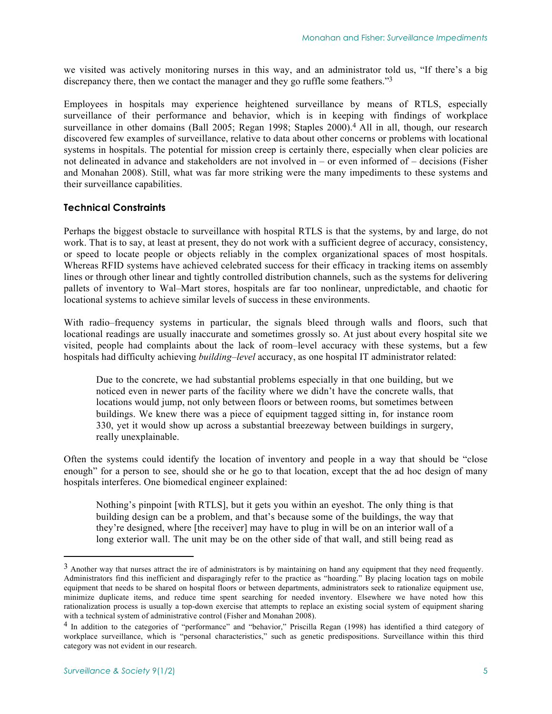we visited was actively monitoring nurses in this way, and an administrator told us, "If there's a big discrepancy there, then we contact the manager and they go ruffle some feathers."3

Employees in hospitals may experience heightened surveillance by means of RTLS, especially surveillance of their performance and behavior, which is in keeping with findings of workplace surveillance in other domains (Ball 2005; Regan 1998; Staples 2000).<sup>4</sup> All in all, though, our research discovered few examples of surveillance, relative to data about other concerns or problems with locational systems in hospitals. The potential for mission creep is certainly there, especially when clear policies are not delineated in advance and stakeholders are not involved in – or even informed of – decisions (Fisher and Monahan 2008). Still, what was far more striking were the many impediments to these systems and their surveillance capabilities.

# **Technical Constraints**

Perhaps the biggest obstacle to surveillance with hospital RTLS is that the systems, by and large, do not work. That is to say, at least at present, they do not work with a sufficient degree of accuracy, consistency, or speed to locate people or objects reliably in the complex organizational spaces of most hospitals. Whereas RFID systems have achieved celebrated success for their efficacy in tracking items on assembly lines or through other linear and tightly controlled distribution channels, such as the systems for delivering pallets of inventory to Wal–Mart stores, hospitals are far too nonlinear, unpredictable, and chaotic for locational systems to achieve similar levels of success in these environments.

With radio–frequency systems in particular, the signals bleed through walls and floors, such that locational readings are usually inaccurate and sometimes grossly so. At just about every hospital site we visited, people had complaints about the lack of room–level accuracy with these systems, but a few hospitals had difficulty achieving *building*–*level* accuracy, as one hospital IT administrator related:

Due to the concrete, we had substantial problems especially in that one building, but we noticed even in newer parts of the facility where we didn't have the concrete walls, that locations would jump, not only between floors or between rooms, but sometimes between buildings. We knew there was a piece of equipment tagged sitting in, for instance room 330, yet it would show up across a substantial breezeway between buildings in surgery, really unexplainable.

Often the systems could identify the location of inventory and people in a way that should be "close enough" for a person to see, should she or he go to that location, except that the ad hoc design of many hospitals interferes. One biomedical engineer explained:

Nothing's pinpoint [with RTLS], but it gets you within an eyeshot. The only thing is that building design can be a problem, and that's because some of the buildings, the way that they're designed, where [the receiver] may have to plug in will be on an interior wall of a long exterior wall. The unit may be on the other side of that wall, and still being read as

<sup>&</sup>lt;sup>3</sup> Another way that nurses attract the ire of administrators is by maintaining on hand any equipment that they need frequently. Administrators find this inefficient and disparagingly refer to the practice as "hoarding." By placing location tags on mobile equipment that needs to be shared on hospital floors or between departments, administrators seek to rationalize equipment use, minimize duplicate items, and reduce time spent searching for needed inventory. Elsewhere we have noted how this rationalization process is usually a top-down exercise that attempts to replace an existing social system of equipment sharing with a technical system of administrative control (Fisher and Monahan 2008).

<sup>4</sup> In addition to the categories of "performance" and "behavior," Priscilla Regan (1998) has identified a third category of workplace surveillance, which is "personal characteristics," such as genetic predispositions. Surveillance within this third category was not evident in our research.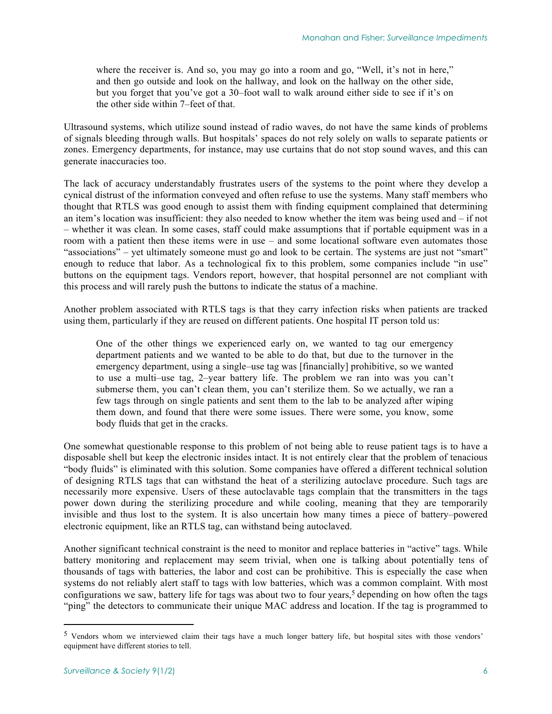where the receiver is. And so, you may go into a room and go, "Well, it's not in here," and then go outside and look on the hallway, and look on the hallway on the other side, but you forget that you've got a 30–foot wall to walk around either side to see if it's on the other side within 7–feet of that.

Ultrasound systems, which utilize sound instead of radio waves, do not have the same kinds of problems of signals bleeding through walls. But hospitals' spaces do not rely solely on walls to separate patients or zones. Emergency departments, for instance, may use curtains that do not stop sound waves, and this can generate inaccuracies too.

The lack of accuracy understandably frustrates users of the systems to the point where they develop a cynical distrust of the information conveyed and often refuse to use the systems. Many staff members who thought that RTLS was good enough to assist them with finding equipment complained that determining an item's location was insufficient: they also needed to know whether the item was being used and – if not – whether it was clean. In some cases, staff could make assumptions that if portable equipment was in a room with a patient then these items were in use – and some locational software even automates those "associations" – yet ultimately someone must go and look to be certain. The systems are just not "smart" enough to reduce that labor. As a technological fix to this problem, some companies include "in use" buttons on the equipment tags. Vendors report, however, that hospital personnel are not compliant with this process and will rarely push the buttons to indicate the status of a machine.

Another problem associated with RTLS tags is that they carry infection risks when patients are tracked using them, particularly if they are reused on different patients. One hospital IT person told us:

One of the other things we experienced early on, we wanted to tag our emergency department patients and we wanted to be able to do that, but due to the turnover in the emergency department, using a single–use tag was [financially] prohibitive, so we wanted to use a multi–use tag, 2–year battery life. The problem we ran into was you can't submerse them, you can't clean them, you can't sterilize them. So we actually, we ran a few tags through on single patients and sent them to the lab to be analyzed after wiping them down, and found that there were some issues. There were some, you know, some body fluids that get in the cracks.

One somewhat questionable response to this problem of not being able to reuse patient tags is to have a disposable shell but keep the electronic insides intact. It is not entirely clear that the problem of tenacious "body fluids" is eliminated with this solution. Some companies have offered a different technical solution of designing RTLS tags that can withstand the heat of a sterilizing autoclave procedure. Such tags are necessarily more expensive. Users of these autoclavable tags complain that the transmitters in the tags power down during the sterilizing procedure and while cooling, meaning that they are temporarily invisible and thus lost to the system. It is also uncertain how many times a piece of battery–powered electronic equipment, like an RTLS tag, can withstand being autoclaved.

Another significant technical constraint is the need to monitor and replace batteries in "active" tags. While battery monitoring and replacement may seem trivial, when one is talking about potentially tens of thousands of tags with batteries, the labor and cost can be prohibitive. This is especially the case when systems do not reliably alert staff to tags with low batteries, which was a common complaint. With most configurations we saw, battery life for tags was about two to four years,<sup>5</sup> depending on how often the tags "ping" the detectors to communicate their unique MAC address and location. If the tag is programmed to

-

 $5$  Vendors whom we interviewed claim their tags have a much longer battery life, but hospital sites with those vendors' equipment have different stories to tell.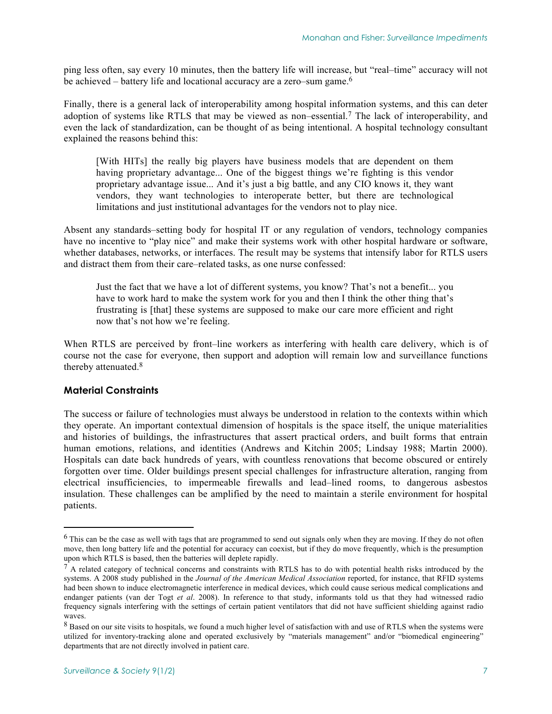ping less often, say every 10 minutes, then the battery life will increase, but "real–time" accuracy will not be achieved – battery life and locational accuracy are a zero–sum game.<sup>6</sup>

Finally, there is a general lack of interoperability among hospital information systems, and this can deter adoption of systems like RTLS that may be viewed as non–essential.7 The lack of interoperability, and even the lack of standardization, can be thought of as being intentional. A hospital technology consultant explained the reasons behind this:

[With HITs] the really big players have business models that are dependent on them having proprietary advantage... One of the biggest things we're fighting is this vendor proprietary advantage issue... And it's just a big battle, and any CIO knows it, they want vendors, they want technologies to interoperate better, but there are technological limitations and just institutional advantages for the vendors not to play nice.

Absent any standards–setting body for hospital IT or any regulation of vendors, technology companies have no incentive to "play nice" and make their systems work with other hospital hardware or software, whether databases, networks, or interfaces. The result may be systems that intensify labor for RTLS users and distract them from their care–related tasks, as one nurse confessed:

Just the fact that we have a lot of different systems, you know? That's not a benefit... you have to work hard to make the system work for you and then I think the other thing that's frustrating is [that] these systems are supposed to make our care more efficient and right now that's not how we're feeling.

When RTLS are perceived by front–line workers as interfering with health care delivery, which is of course not the case for everyone, then support and adoption will remain low and surveillance functions thereby attenuated.<sup>8</sup>

### **Material Constraints**

1

The success or failure of technologies must always be understood in relation to the contexts within which they operate. An important contextual dimension of hospitals is the space itself, the unique materialities and histories of buildings, the infrastructures that assert practical orders, and built forms that entrain human emotions, relations, and identities (Andrews and Kitchin 2005; Lindsay 1988; Martin 2000). Hospitals can date back hundreds of years, with countless renovations that become obscured or entirely forgotten over time. Older buildings present special challenges for infrastructure alteration, ranging from electrical insufficiencies, to impermeable firewalls and lead–lined rooms, to dangerous asbestos insulation. These challenges can be amplified by the need to maintain a sterile environment for hospital patients.

<sup>&</sup>lt;sup>6</sup> This can be the case as well with tags that are programmed to send out signals only when they are moving. If they do not often move, then long battery life and the potential for accuracy can coexist, but if they do move frequently, which is the presumption upon which RTLS is based, then the batteries will deplete rapidly.

 $<sup>7</sup>$  A related category of technical concerns and constraints with RTLS has to do with potential health risks introduced by the</sup> systems. A 2008 study published in the *Journal of the American Medical Association* reported, for instance, that RFID systems had been shown to induce electromagnetic interference in medical devices, which could cause serious medical complications and endanger patients (van der Togt *et al*. 2008). In reference to that study, informants told us that they had witnessed radio frequency signals interfering with the settings of certain patient ventilators that did not have sufficient shielding against radio waves.

<sup>&</sup>lt;sup>8</sup> Based on our site visits to hospitals, we found a much higher level of satisfaction with and use of RTLS when the systems were utilized for inventory-tracking alone and operated exclusively by "materials management" and/or "biomedical engineering" departments that are not directly involved in patient care.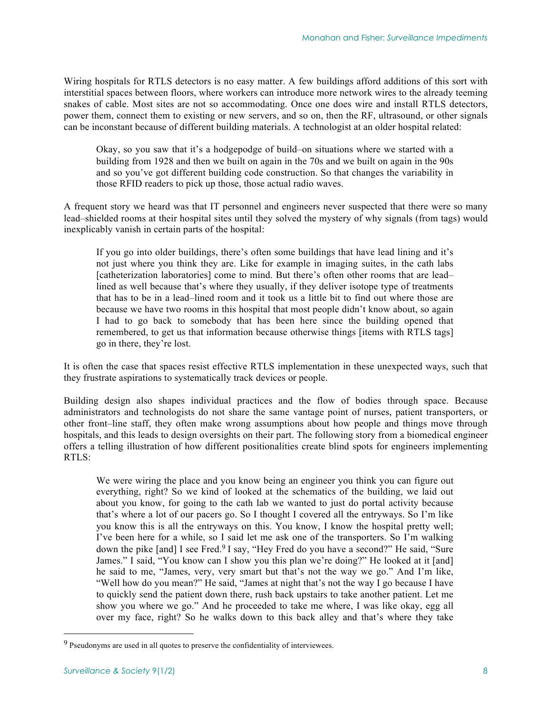Wiring hospitals for RTLS detectors is no easy matter. A few buildings afford additions of this sort with interstitial spaces between floors, where workers can introduce more network wires to the already teeming snakes of cable. Most sites are not so accommodating. Once one does wire and install RTLS detectors, power them, connect them to existing or new servers, and so on, then the RF, ultrasound, or other signals can be inconstant because of different building materials. A technologist at an older hospital related:

Okay, so you saw that it's a hodgepodge of build–on situations where we started with a building from 1928 and then we built on again in the 70s and we built on again in the 90s and so you've got different building code construction. So that changes the variability in those RFID readers to pick up those, those actual radio waves.

A frequent story we heard was that IT personnel and engineers never suspected that there were so many lead–shielded rooms at their hospital sites until they solved the mystery of why signals (from tags) would inexplicably vanish in certain parts of the hospital:

If you go into older buildings, there's often some buildings that have lead lining and it's not just where you think they are. Like for example in imaging suites, in the cath labs [catheterization laboratories] come to mind. But there's often other rooms that are lead– lined as well because that's where they usually, if they deliver isotope type of treatments that has to be in a lead–lined room and it took us a little bit to find out where those are because we have two rooms in this hospital that most people didn't know about, so again I had to go back to somebody that has been here since the building opened that remembered, to get us that information because otherwise things [items with RTLS tags] go in there, they're lost.

It is often the case that spaces resist effective RTLS implementation in these unexpected ways, such that they frustrate aspirations to systematically track devices or people.

Building design also shapes individual practices and the flow of bodies through space. Because administrators and technologists do not share the same vantage point of nurses, patient transporters, or other front–line staff, they often make wrong assumptions about how people and things move through hospitals, and this leads to design oversights on their part. The following story from a biomedical engineer offers a telling illustration of how different positionalities create blind spots for engineers implementing RTLS:

We were wiring the place and you know being an engineer you think you can figure out everything, right? So we kind of looked at the schematics of the building, we laid out about you know, for going to the cath lab we wanted to just do portal activity because that's where a lot of our pacers go. So I thought I covered all the entryways. So I'm like you know this is all the entryways on this. You know, I know the hospital pretty well; I've been here for a while, so I said let me ask one of the transporters. So I'm walking down the pike [and] I see Fred.9 I say, "Hey Fred do you have a second?" He said, "Sure James." I said, "You know can I show you this plan we're doing?" He looked at it [and] he said to me, "James, very, very smart but that's not the way we go." And I'm like, "Well how do you mean?" He said, "James at night that's not the way I go because I have to quickly send the patient down there, rush back upstairs to take another patient. Let me show you where we go." And he proceeded to take me where, I was like okay, egg all over my face, right? So he walks down to this back alley and that's where they take

<sup>&</sup>lt;sup>9</sup> Pseudonyms are used in all quotes to preserve the confidentiality of interviewees.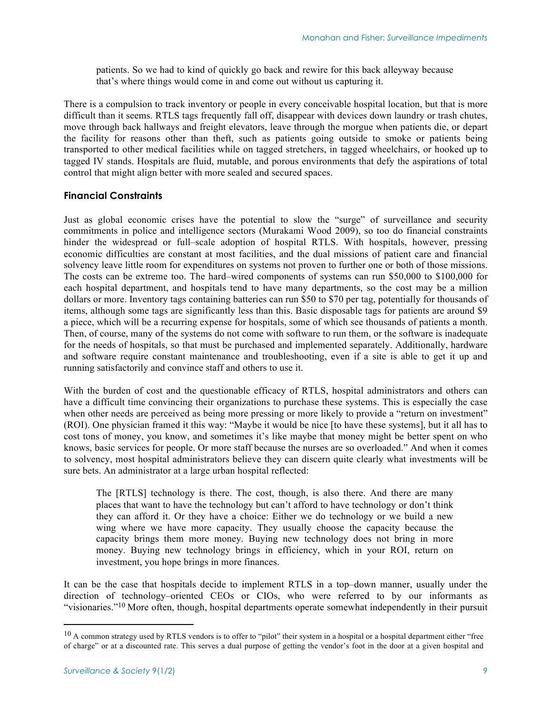patients. So we had to kind of quickly go back and rewire for this back alleyway because that's where things would come in and come out without us capturing it.

There is a compulsion to track inventory or people in every conceivable hospital location, but that is more difficult than it seems. RTLS tags frequently fall off, disappear with devices down laundry or trash chutes, move through back hallways and freight elevators, leave through the morgue when patients die, or depart the facility for reasons other than theft, such as patients going outside to smoke or patients being transported to other medical facilities while on tagged stretchers, in tagged wheelchairs, or hooked up to tagged IV stands. Hospitals are fluid, mutable, and porous environments that defy the aspirations of total control that might align better with more sealed and secured spaces.

# **Financial Constraints**

Just as global economic crises have the potential to slow the "surge" of surveillance and security commitments in police and intelligence sectors (Murakami Wood 2009), so too do financial constraints hinder the widespread or full–scale adoption of hospital RTLS. With hospitals, however, pressing economic difficulties are constant at most facilities, and the dual missions of patient care and financial solvency leave little room for expenditures on systems not proven to further one or both of those missions. The costs can be extreme too. The hard–wired components of systems can run \$50,000 to \$100,000 for each hospital department, and hospitals tend to have many departments, so the cost may be a million dollars or more. Inventory tags containing batteries can run \$50 to \$70 per tag, potentially for thousands of items, although some tags are significantly less than this. Basic disposable tags for patients are around \$9 a piece, which will be a recurring expense for hospitals, some of which see thousands of patients a month. Then, of course, many of the systems do not come with software to run them, or the software is inadequate for the needs of hospitals, so that must be purchased and implemented separately. Additionally, hardware and software require constant maintenance and troubleshooting, even if a site is able to get it up and running satisfactorily and convince staff and others to use it.

With the burden of cost and the questionable efficacy of RTLS, hospital administrators and others can have a difficult time convincing their organizations to purchase these systems. This is especially the case when other needs are perceived as being more pressing or more likely to provide a "return on investment" (ROI). One physician framed it this way: "Maybe it would be nice [to have these systems], but it all has to cost tons of money, you know, and sometimes it's like maybe that money might be better spent on who knows, basic services for people. Or more staff because the nurses are so overloaded." And when it comes to solvency, most hospital administrators believe they can discern quite clearly what investments will be sure bets. An administrator at a large urban hospital reflected:

The [RTLS] technology is there. The cost, though, is also there. And there are many places that want to have the technology but can't afford to have technology or don't think they can afford it. Or they have a choice: Either we do technology or we build a new wing where we have more capacity. They usually choose the capacity because the capacity brings them more money. Buying new technology does not bring in more money. Buying new technology brings in efficiency, which in your ROI, return on investment, you hope brings in more finances.

It can be the case that hospitals decide to implement RTLS in a top–down manner, usually under the direction of technology–oriented CEOs or CIOs, who were referred to by our informants as "visionaries."10 More often, though, hospital departments operate somewhat independently in their pursuit

-

 $10$  A common strategy used by RTLS vendors is to offer to "pilot" their system in a hospital or a hospital department either "free of charge" or at a discounted rate. This serves a dual purpose of getting the vendor's foot in the door at a given hospital and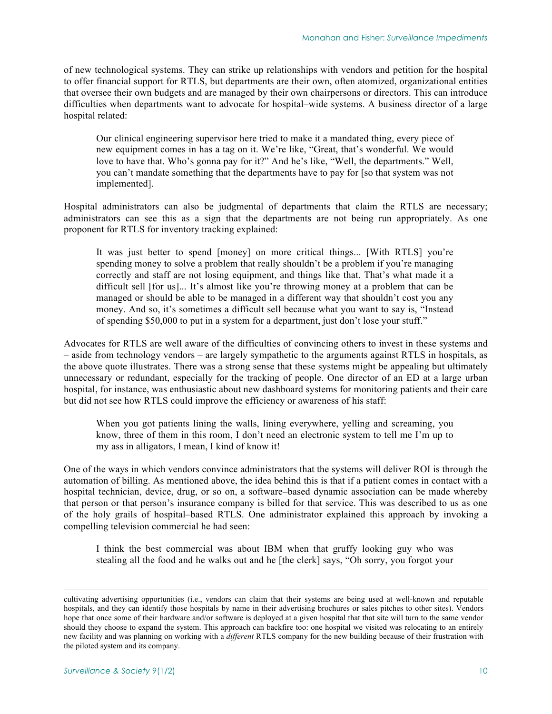of new technological systems. They can strike up relationships with vendors and petition for the hospital to offer financial support for RTLS, but departments are their own, often atomized, organizational entities that oversee their own budgets and are managed by their own chairpersons or directors. This can introduce difficulties when departments want to advocate for hospital–wide systems. A business director of a large hospital related:

Our clinical engineering supervisor here tried to make it a mandated thing, every piece of new equipment comes in has a tag on it. We're like, "Great, that's wonderful. We would love to have that. Who's gonna pay for it?" And he's like, "Well, the departments." Well, you can't mandate something that the departments have to pay for [so that system was not implemented].

Hospital administrators can also be judgmental of departments that claim the RTLS are necessary; administrators can see this as a sign that the departments are not being run appropriately. As one proponent for RTLS for inventory tracking explained:

It was just better to spend [money] on more critical things... [With RTLS] you're spending money to solve a problem that really shouldn't be a problem if you're managing correctly and staff are not losing equipment, and things like that. That's what made it a difficult sell [for us]... It's almost like you're throwing money at a problem that can be managed or should be able to be managed in a different way that shouldn't cost you any money. And so, it's sometimes a difficult sell because what you want to say is, "Instead of spending \$50,000 to put in a system for a department, just don't lose your stuff."

Advocates for RTLS are well aware of the difficulties of convincing others to invest in these systems and – aside from technology vendors – are largely sympathetic to the arguments against RTLS in hospitals, as the above quote illustrates. There was a strong sense that these systems might be appealing but ultimately unnecessary or redundant, especially for the tracking of people. One director of an ED at a large urban hospital, for instance, was enthusiastic about new dashboard systems for monitoring patients and their care but did not see how RTLS could improve the efficiency or awareness of his staff:

When you got patients lining the walls, lining everywhere, yelling and screaming, you know, three of them in this room, I don't need an electronic system to tell me I'm up to my ass in alligators, I mean, I kind of know it!

One of the ways in which vendors convince administrators that the systems will deliver ROI is through the automation of billing. As mentioned above, the idea behind this is that if a patient comes in contact with a hospital technician, device, drug, or so on, a software–based dynamic association can be made whereby that person or that person's insurance company is billed for that service. This was described to us as one of the holy grails of hospital–based RTLS. One administrator explained this approach by invoking a compelling television commercial he had seen:

I think the best commercial was about IBM when that gruffy looking guy who was stealing all the food and he walks out and he [the clerk] says, "Oh sorry, you forgot your

-

cultivating advertising opportunities (i.e., vendors can claim that their systems are being used at well-known and reputable hospitals, and they can identify those hospitals by name in their advertising brochures or sales pitches to other sites). Vendors hope that once some of their hardware and/or software is deployed at a given hospital that that site will turn to the same vendor should they choose to expand the system. This approach can backfire too: one hospital we visited was relocating to an entirely new facility and was planning on working with a *different* RTLS company for the new building because of their frustration with the piloted system and its company.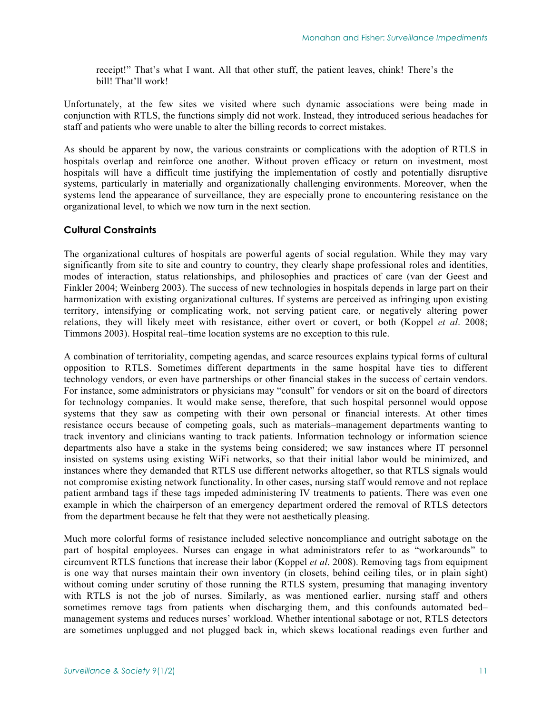receipt!" That's what I want. All that other stuff, the patient leaves, chink! There's the bill! That'll work!

Unfortunately, at the few sites we visited where such dynamic associations were being made in conjunction with RTLS, the functions simply did not work. Instead, they introduced serious headaches for staff and patients who were unable to alter the billing records to correct mistakes.

As should be apparent by now, the various constraints or complications with the adoption of RTLS in hospitals overlap and reinforce one another. Without proven efficacy or return on investment, most hospitals will have a difficult time justifying the implementation of costly and potentially disruptive systems, particularly in materially and organizationally challenging environments. Moreover, when the systems lend the appearance of surveillance, they are especially prone to encountering resistance on the organizational level, to which we now turn in the next section.

### **Cultural Constraints**

The organizational cultures of hospitals are powerful agents of social regulation. While they may vary significantly from site to site and country to country, they clearly shape professional roles and identities, modes of interaction, status relationships, and philosophies and practices of care (van der Geest and Finkler 2004; Weinberg 2003). The success of new technologies in hospitals depends in large part on their harmonization with existing organizational cultures. If systems are perceived as infringing upon existing territory, intensifying or complicating work, not serving patient care, or negatively altering power relations, they will likely meet with resistance, either overt or covert, or both (Koppel *et al*. 2008; Timmons 2003). Hospital real–time location systems are no exception to this rule.

A combination of territoriality, competing agendas, and scarce resources explains typical forms of cultural opposition to RTLS. Sometimes different departments in the same hospital have ties to different technology vendors, or even have partnerships or other financial stakes in the success of certain vendors. For instance, some administrators or physicians may "consult" for vendors or sit on the board of directors for technology companies. It would make sense, therefore, that such hospital personnel would oppose systems that they saw as competing with their own personal or financial interests. At other times resistance occurs because of competing goals, such as materials–management departments wanting to track inventory and clinicians wanting to track patients. Information technology or information science departments also have a stake in the systems being considered; we saw instances where IT personnel insisted on systems using existing WiFi networks, so that their initial labor would be minimized, and instances where they demanded that RTLS use different networks altogether, so that RTLS signals would not compromise existing network functionality. In other cases, nursing staff would remove and not replace patient armband tags if these tags impeded administering IV treatments to patients. There was even one example in which the chairperson of an emergency department ordered the removal of RTLS detectors from the department because he felt that they were not aesthetically pleasing.

Much more colorful forms of resistance included selective noncompliance and outright sabotage on the part of hospital employees. Nurses can engage in what administrators refer to as "workarounds" to circumvent RTLS functions that increase their labor (Koppel *et al*. 2008). Removing tags from equipment is one way that nurses maintain their own inventory (in closets, behind ceiling tiles, or in plain sight) without coming under scrutiny of those running the RTLS system, presuming that managing inventory with RTLS is not the job of nurses. Similarly, as was mentioned earlier, nursing staff and others sometimes remove tags from patients when discharging them, and this confounds automated bed– management systems and reduces nurses' workload. Whether intentional sabotage or not, RTLS detectors are sometimes unplugged and not plugged back in, which skews locational readings even further and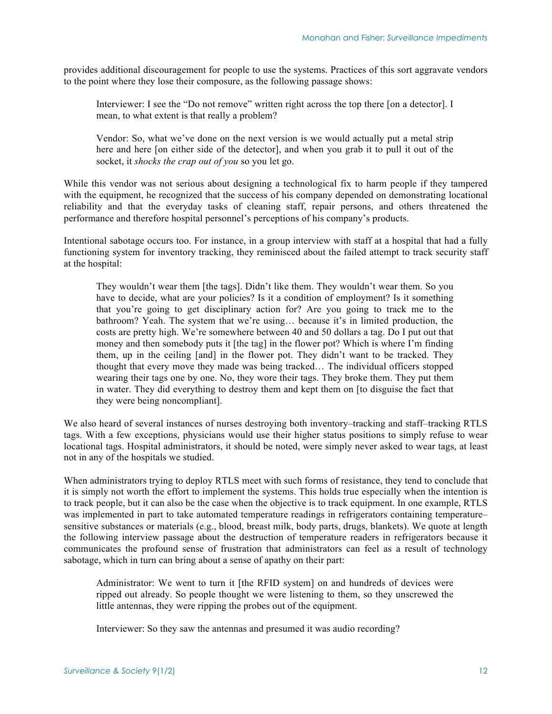provides additional discouragement for people to use the systems. Practices of this sort aggravate vendors to the point where they lose their composure, as the following passage shows:

Interviewer: I see the "Do not remove" written right across the top there [on a detector]. I mean, to what extent is that really a problem?

Vendor: So, what we've done on the next version is we would actually put a metal strip here and here [on either side of the detector], and when you grab it to pull it out of the socket, it *shocks the crap out of you* so you let go.

While this vendor was not serious about designing a technological fix to harm people if they tampered with the equipment, he recognized that the success of his company depended on demonstrating locational reliability and that the everyday tasks of cleaning staff, repair persons, and others threatened the performance and therefore hospital personnel's perceptions of his company's products.

Intentional sabotage occurs too. For instance, in a group interview with staff at a hospital that had a fully functioning system for inventory tracking, they reminisced about the failed attempt to track security staff at the hospital:

They wouldn't wear them [the tags]. Didn't like them. They wouldn't wear them. So you have to decide, what are your policies? Is it a condition of employment? Is it something that you're going to get disciplinary action for? Are you going to track me to the bathroom? Yeah. The system that we're using… because it's in limited production, the costs are pretty high. We're somewhere between 40 and 50 dollars a tag. Do I put out that money and then somebody puts it [the tag] in the flower pot? Which is where I'm finding them, up in the ceiling [and] in the flower pot. They didn't want to be tracked. They thought that every move they made was being tracked… The individual officers stopped wearing their tags one by one. No, they wore their tags. They broke them. They put them in water. They did everything to destroy them and kept them on [to disguise the fact that they were being noncompliant].

We also heard of several instances of nurses destroying both inventory–tracking and staff–tracking RTLS tags. With a few exceptions, physicians would use their higher status positions to simply refuse to wear locational tags. Hospital administrators, it should be noted, were simply never asked to wear tags, at least not in any of the hospitals we studied.

When administrators trying to deploy RTLS meet with such forms of resistance, they tend to conclude that it is simply not worth the effort to implement the systems. This holds true especially when the intention is to track people, but it can also be the case when the objective is to track equipment. In one example, RTLS was implemented in part to take automated temperature readings in refrigerators containing temperature– sensitive substances or materials (e.g., blood, breast milk, body parts, drugs, blankets). We quote at length the following interview passage about the destruction of temperature readers in refrigerators because it communicates the profound sense of frustration that administrators can feel as a result of technology sabotage, which in turn can bring about a sense of apathy on their part:

Administrator: We went to turn it [the RFID system] on and hundreds of devices were ripped out already. So people thought we were listening to them, so they unscrewed the little antennas, they were ripping the probes out of the equipment.

Interviewer: So they saw the antennas and presumed it was audio recording?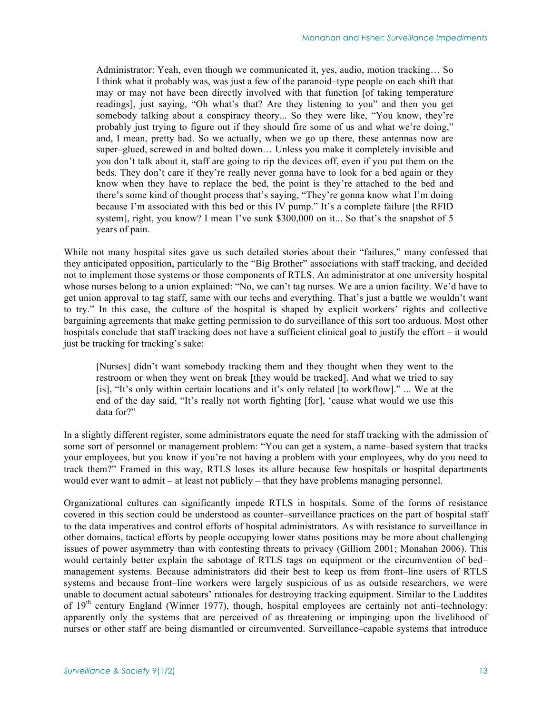Administrator: Yeah, even though we communicated it, yes, audio, motion tracking… So I think what it probably was, was just a few of the paranoid–type people on each shift that may or may not have been directly involved with that function [of taking temperature readings], just saying, "Oh what's that? Are they listening to you" and then you get somebody talking about a conspiracy theory... So they were like, "You know, they're probably just trying to figure out if they should fire some of us and what we're doing," and, I mean, pretty bad. So we actually, when we go up there, these antennas now are super–glued, screwed in and bolted down… Unless you make it completely invisible and you don't talk about it, staff are going to rip the devices off, even if you put them on the beds. They don't care if they're really never gonna have to look for a bed again or they know when they have to replace the bed, the point is they're attached to the bed and there's some kind of thought process that's saying, "They're gonna know what I'm doing because I'm associated with this bed or this IV pump." It's a complete failure [the RFID system], right, you know? I mean I've sunk \$300,000 on it... So that's the snapshot of 5 years of pain.

While not many hospital sites gave us such detailed stories about their "failures," many confessed that they anticipated opposition, particularly to the "Big Brother" associations with staff tracking, and decided not to implement those systems or those components of RTLS. An administrator at one university hospital whose nurses belong to a union explained: "No, we can't tag nurses. We are a union facility. We'd have to get union approval to tag staff, same with our techs and everything. That's just a battle we wouldn't want to try." In this case, the culture of the hospital is shaped by explicit workers' rights and collective bargaining agreements that make getting permission to do surveillance of this sort too arduous. Most other hospitals conclude that staff tracking does not have a sufficient clinical goal to justify the effort – it would just be tracking for tracking's sake:

[Nurses] didn't want somebody tracking them and they thought when they went to the restroom or when they went on break [they would be tracked]. And what we tried to say [is], "It's only within certain locations and it's only related [to workflow]." ... We at the end of the day said, "It's really not worth fighting [for], 'cause what would we use this data for?"

In a slightly different register, some administrators equate the need for staff tracking with the admission of some sort of personnel or management problem: "You can get a system, a name–based system that tracks your employees, but you know if you're not having a problem with your employees, why do you need to track them?" Framed in this way, RTLS loses its allure because few hospitals or hospital departments would ever want to admit – at least not publicly – that they have problems managing personnel.

Organizational cultures can significantly impede RTLS in hospitals. Some of the forms of resistance covered in this section could be understood as counter–surveillance practices on the part of hospital staff to the data imperatives and control efforts of hospital administrators. As with resistance to surveillance in other domains, tactical efforts by people occupying lower status positions may be more about challenging issues of power asymmetry than with contesting threats to privacy (Gilliom 2001; Monahan 2006). This would certainly better explain the sabotage of RTLS tags on equipment or the circumvention of bed– management systems. Because administrators did their best to keep us from front–line users of RTLS systems and because front–line workers were largely suspicious of us as outside researchers, we were unable to document actual saboteurs' rationales for destroying tracking equipment. Similar to the Luddites of 19th century England (Winner 1977), though, hospital employees are certainly not anti–technology: apparently only the systems that are perceived of as threatening or impinging upon the livelihood of nurses or other staff are being dismantled or circumvented. Surveillance–capable systems that introduce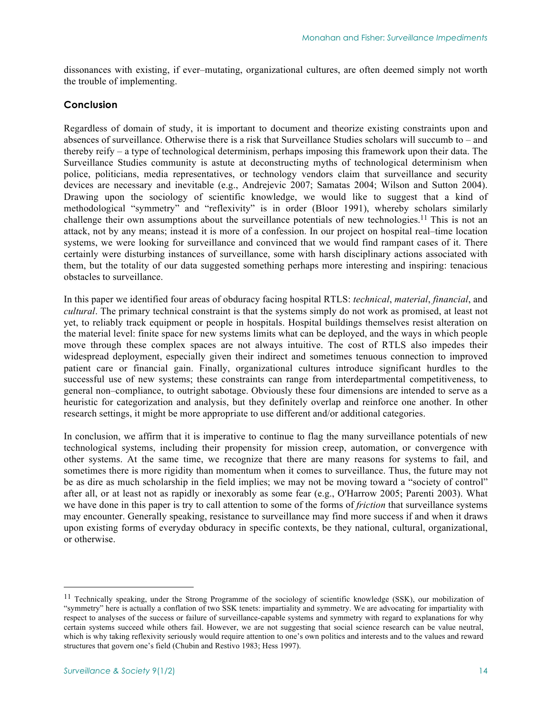dissonances with existing, if ever–mutating, organizational cultures, are often deemed simply not worth the trouble of implementing.

# **Conclusion**

Regardless of domain of study, it is important to document and theorize existing constraints upon and absences of surveillance. Otherwise there is a risk that Surveillance Studies scholars will succumb to – and thereby reify – a type of technological determinism, perhaps imposing this framework upon their data. The Surveillance Studies community is astute at deconstructing myths of technological determinism when police, politicians, media representatives, or technology vendors claim that surveillance and security devices are necessary and inevitable (e.g., Andrejevic 2007; Samatas 2004; Wilson and Sutton 2004). Drawing upon the sociology of scientific knowledge, we would like to suggest that a kind of methodological "symmetry" and "reflexivity" is in order (Bloor 1991), whereby scholars similarly challenge their own assumptions about the surveillance potentials of new technologies.11 This is not an attack, not by any means; instead it is more of a confession. In our project on hospital real–time location systems, we were looking for surveillance and convinced that we would find rampant cases of it. There certainly were disturbing instances of surveillance, some with harsh disciplinary actions associated with them, but the totality of our data suggested something perhaps more interesting and inspiring: tenacious obstacles to surveillance.

In this paper we identified four areas of obduracy facing hospital RTLS: *technical*, *material*, *financial*, and *cultural*. The primary technical constraint is that the systems simply do not work as promised, at least not yet, to reliably track equipment or people in hospitals. Hospital buildings themselves resist alteration on the material level: finite space for new systems limits what can be deployed, and the ways in which people move through these complex spaces are not always intuitive. The cost of RTLS also impedes their widespread deployment, especially given their indirect and sometimes tenuous connection to improved patient care or financial gain. Finally, organizational cultures introduce significant hurdles to the successful use of new systems; these constraints can range from interdepartmental competitiveness, to general non–compliance, to outright sabotage. Obviously these four dimensions are intended to serve as a heuristic for categorization and analysis, but they definitely overlap and reinforce one another. In other research settings, it might be more appropriate to use different and/or additional categories.

In conclusion, we affirm that it is imperative to continue to flag the many surveillance potentials of new technological systems, including their propensity for mission creep, automation, or convergence with other systems. At the same time, we recognize that there are many reasons for systems to fail, and sometimes there is more rigidity than momentum when it comes to surveillance. Thus, the future may not be as dire as much scholarship in the field implies; we may not be moving toward a "society of control" after all, or at least not as rapidly or inexorably as some fear (e.g., O'Harrow 2005; Parenti 2003). What we have done in this paper is try to call attention to some of the forms of *friction* that surveillance systems may encounter. Generally speaking, resistance to surveillance may find more success if and when it draws upon existing forms of everyday obduracy in specific contexts, be they national, cultural, organizational, or otherwise.

l

<sup>&</sup>lt;sup>11</sup> Technically speaking, under the Strong Programme of the sociology of scientific knowledge (SSK), our mobilization of "symmetry" here is actually a conflation of two SSK tenets: impartiality and symmetry. We are advocating for impartiality with respect to analyses of the success or failure of surveillance-capable systems and symmetry with regard to explanations for why certain systems succeed while others fail. However, we are not suggesting that social science research can be value neutral, which is why taking reflexivity seriously would require attention to one's own politics and interests and to the values and reward structures that govern one's field (Chubin and Restivo 1983; Hess 1997).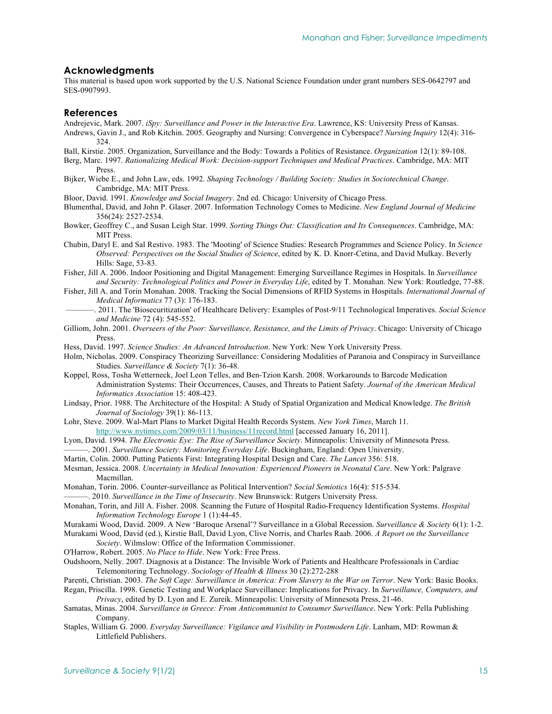#### **Acknowledgments**

This material is based upon work supported by the U.S. National Science Foundation under grant numbers SES-0642797 and SES-0907993.

#### **References**

Andrejevic, Mark. 2007. *iSpy: Surveillance and Power in the Interactive Era*. Lawrence, KS: University Press of Kansas.

- Andrews, Gavin J., and Rob Kitchin. 2005. Geography and Nursing: Convergence in Cyberspace? *Nursing Inquiry* 12(4): 316- 324.
- Ball, Kirstie. 2005. Organization, Surveillance and the Body: Towards a Politics of Resistance. *Organization* 12(1): 89-108.
- Berg, Marc. 1997. *Rationalizing Medical Work: Decision-support Techniques and Medical Practices*. Cambridge, MA: MIT Press.
- Bijker, Wiebe E., and John Law, eds. 1992. *Shaping Technology / Building Society: Studies in Sociotechnical Change*. Cambridge, MA: MIT Press.
- Bloor, David. 1991. *Knowledge and Social Imagery*. 2nd ed. Chicago: University of Chicago Press.

Blumenthal, David, and John P. Glaser. 2007. Information Technology Comes to Medicine. *New England Journal of Medicine* 356(24): 2527-2534.

- Bowker, Geoffrey C., and Susan Leigh Star. 1999. *Sorting Things Out: Classification and Its Consequences*. Cambridge, MA: MIT Press.
- Chubin, Daryl E. and Sal Restivo. 1983. The 'Mooting' of Science Studies: Research Programmes and Science Policy. In *Science Observed: Perspectives on the Social Studies of Science*, edited by K. D. Knorr-Cetina, and David Mulkay. Beverly Hills: Sage, 53-83.

Fisher, Jill A. 2006. Indoor Positioning and Digital Management: Emerging Surveillance Regimes in Hospitals. In *Surveillance and Security: Technological Politics and Power in Everyday Life*, edited by T. Monahan. New York: Routledge, 77-88.

- Fisher, Jill A. and Torin Monahan. 2008. Tracking the Social Dimensions of RFID Systems in Hospitals. *International Journal of Medical Informatics* 77 (3): 176-183.
- –––––––. 2011. The 'Biosecuritization' of Healthcare Delivery: Examples of Post-9/11 Technological Imperatives. *Social Science and Medicine* 72 (4): 545-552.
- Gilliom, John. 2001. *Overseers of the Poor: Surveillance, Resistance, and the Limits of Privacy*. Chicago: University of Chicago Press.
- Hess, David. 1997. *Science Studies: An Advanced Introduction*. New York: New York University Press.
- Holm, Nicholas. 2009. Conspiracy Theorizing Surveillance: Considering Modalities of Paranoia and Conspiracy in Surveillance Studies. *Surveillance & Society* 7(1): 36-48.
- Koppel, Ross, Tosha Wetterneck, Joel Leon Telles, and Ben-Tzion Karsh. 2008. Workarounds to Barcode Medication Administration Systems: Their Occurrences, Causes, and Threats to Patient Safety. *Journal of the American Medical Informatics Association* 15: 408-423.
- Lindsay, Prior. 1988. The Architecture of the Hospital: A Study of Spatial Organization and Medical Knowledge. *The British Journal of Sociology* 39(1): 86-113.
- Lohr, Steve. 2009. Wal-Mart Plans to Market Digital Health Records System. *New York Times*, March 11. [http://www.nytimes.com/2009/03/11/business/11record.html \[a](http://www.nytimes.com/2009/03/11/business/11record.html)ccessed January 16, 2011].
- Lyon, David. 1994. *The Electronic Eye: The Rise of Surveillance Society*. Minneapolis: University of Minnesota Press.
- ———. 2001. *Surveillance Society: Monitoring Everyday Life*. Buckingham, England: Open University.
- Martin, Colin. 2000. Putting Patients First: Integrating Hospital Design and Care. *The Lancet* 356: 518.
- Mesman, Jessica. 2008. *Uncertainty in Medical Innovation: Experienced Pioneers in Neonatal Care*. New York: Palgrave Macmillan.
- Monahan, Torin. 2006. Counter-surveillance as Political Intervention? *Social Semiotics* 16(4): 515-534.

———. 2010. *Surveillance in the Time of Insecurity*. New Brunswick: Rutgers University Press.

Monahan, Torin, and Jill A. Fisher. 2008. Scanning the Future of Hospital Radio-Frequency Identification Systems. *Hospital Information Technology Europe* 1 (1):44-45.

Murakami Wood, David. 2009. A New 'Baroque Arsenal'? Surveillance in a Global Recession. *Surveillance & Society* 6(1): 1-2. Murakami Wood, David (ed.), Kirstie Ball, David Lyon, Clive Norris, and Charles Raab. 2006. *A Report on the Surveillance* 

*Society*. Wilmslow: Office of the Information Commissioner.

- O'Harrow, Robert. 2005. *No Place to Hide*. New York: Free Press.
- Oudshoorn, Nelly. 2007. Diagnosis at a Distance: The Invisible Work of Patients and Healthcare Professionals in Cardiac Telemonitoring Technology. *Sociology of Health & Illness* 30 (2):272-288
- Parenti, Christian. 2003. *The Soft Cage: Surveillance in America: From Slavery to the War on Terror*. New York: Basic Books.

Regan, Priscilla. 1998. Genetic Testing and Workplace Surveillance: Implications for Privacy. In *Surveillance, Computers, and Privacy*, edited by D. Lyon and E. Zureik. Minneapolis: University of Minnesota Press, 21-46.

- Samatas, Minas. 2004. *Surveillance in Greece: From Anticommunist to Consumer Surveillance*. New York: Pella Publishing Company.
- Staples, William G. 2000. *Everyday Surveillance: Vigilance and Visibility in Postmodern Life*. Lanham, MD: Rowman & Littlefield Publishers.